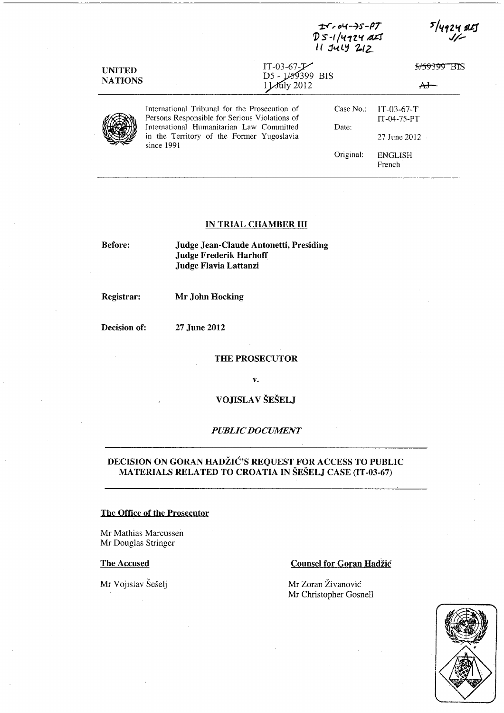|                |                                                                                                     | D 5-1/4924 ALS<br>11 JULY 212   |                             |
|----------------|-----------------------------------------------------------------------------------------------------|---------------------------------|-----------------------------|
| <b>UNITED</b>  | $IT-03-67-F$<br>D5 - 1/59399 BIS                                                                    |                                 | 515939                      |
| <b>NATIONS</b> |                                                                                                     | $\mathcal{M}_{\text{uly}}$ 2012 |                             |
|                | International Tribunal for the Prosecution of<br>Persons Responsible for Serious Violations of      | Case No.                        | $IT-03-67-T$<br>IT-04-75-PT |
|                | International Humanitarian Law Committed<br>in the Territory of the Former Yugoslavia<br>since 1991 | Date:                           | $27$ June $2012 -$          |
|                |                                                                                                     | Original:                       | <b>ENGLISH</b><br>French    |

**-r:r,oL(--t:f-PT** 

5/4924 25

#### **IN TRIAL CHAMBER III**

**Before:** 

**Judge Jean-Claude Antonetti, Presiding Judge Frederik Harhoff Judge Flavia Lattanzi** 

**Registrar:** 

**Mr John Hocking** 

**Decision of: 27 June 2012** 

**THE PROSECUTOR** 

**v.** 

**VOJISLA V SESELJ** 

## *PUBLIC DOCUMENT*

# **DECISION ON GORAN HADZIC?S REQUEST FOR ACCESS TO PUBLIC MA TERIALS RELATED TO CROA TIA IN SESELJ CASE (IT -03-67)**

### **The Office of the Prosecutor**

Mr Mathias Marcussen Mr Douglas Stringer

# The Accused

Mr Vojislav Šešelj

## **Counsel for Goran Hadžić**

Mr Zoran Živanović Mr Christopher Gosnell

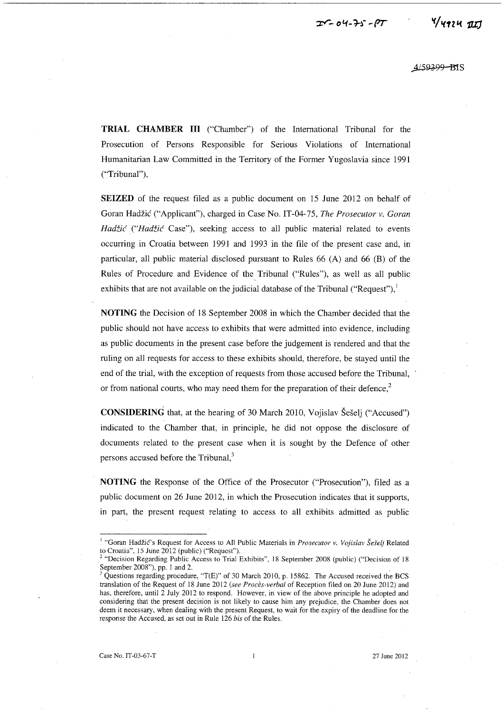*,4.L59399* -mS

**TRIAL CHAMBER III** ("Chamber") of the International Tribunal for the Prosecution of Persons Responsible for Serious Violations of International Humanitarian Law Committed in the Territory of the Former Yugoslavia since 1991 ("Tribunal"),

**SEIZED** of the request filed as a public document on 15 June 2012 on behalf of Goran Hadzic ("Applicant"), charged in Case No. IT -04-75, *The Prosecutor v. Goran*  Hadžić ("Hadžić Case"), seeking access to all public material related to events occurring in Croatia between 1991 and 1993 in the file of the present case and, in particular, all public material disclosed pursuant to Rules 66 (A) and 66 (B) of the Rules of Procedure and Evidence of the Tribunal ("Rules"), as well as all public exhibits that are not available on the judicial database of the Tribunal ("Request"), $\frac{1}{2}$ 

**NOTING** the Decision of 18 September 2008 in which the Chamber decided that the public should not have access to exhibits that were admitted into evidence, including as public documents in the present case before the judgement is rendered and that the ruling on all requests for access to these exhibits should, therefore, be stayed until the end of the trial, with the exception of requests from those accused before the Tribunal, or from national courts, who may need them for the preparation of their defence, $2$ 

**CONSIDERING** that, at the hearing of 30 March 2010, Vojislav Šešelj ("Accused") indicated to the Chamber that, in principle, he did not oppose the disclosure of documents related to the present case when it is sought by the Defence of other persons accused before the Tribunal, $3$ 

**NOTING** the Response of the Office of the Prosecutor ("Prosecution"), filed as a public document on 26 June 2012, in which the Prosecution indicates that it supports, in part, the present request relating to access to all exhibits admitted as public

<sup>1 &</sup>quot;Goran Hadzic's Request for Access to All Public Materials in *Prosecutor v. Vojislav Se§elj* Related to Croatia", 15 June 2012 (public) ("Request").

<sup>&</sup>lt;sup>2</sup> "Decision Regarding Public Access to Trial Exhibits", 18 September 2008 (public) ("Decision of 18 September 2008"), pp. 1 and 2.

Questions regarding procedure, "T(E)" of 30 March 2010, p. 15862. The Accused received the BCS translation of the Request of 18 June 2012 *(see Proces-verbal* of Reception filed on 20 June 2012) and has, therefore, until 2 July 2012 to respond. However, in view of the above principle he adopted and considering that the present decision is not likely to cause him any prejudice, the Chamber does not deem it necessary, when dealing with the present Request, to wait for the expiry of the deadline for the response the Accused, as set out in Rule 126 *bis* of the Rules.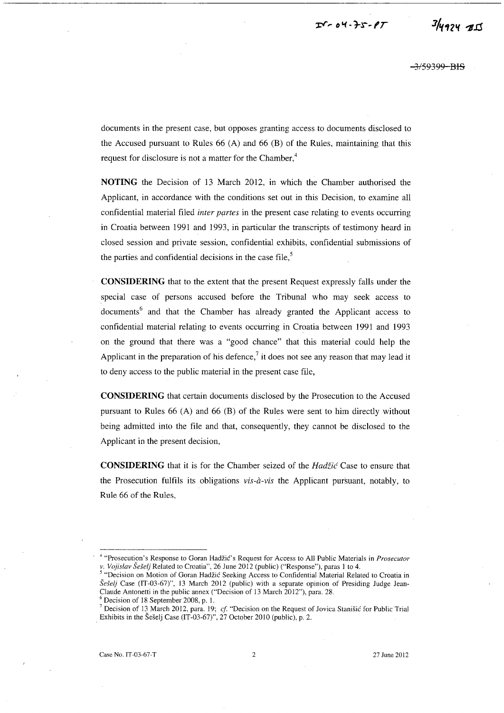$T - 04 - 75 - 8T$ 

 $3/4924$  BIS

<del>-3/59399-BIS</del>

documents in the present case, but opposes granting access to documents disclosed to the Accused pursuant to Rules 66 (A) and 66 (B) of the Rules, maintaining that this request for disclosure is not a matter for the Chamber,<sup>4</sup>

**NOTING** the Decision of 13 March 2012, in which the Chamber authorised the Applicant, in accordance with the conditions set out in this Decision, to examine all confidential material filed *inter partes* in the present case relating to events occurring in Croatia between 1991 and 1993, in particular the transcripts of testimony heard in closed session and private session, confidential exhibits, confidential submissions of the parties and confidential decisions in the case file,<sup>5</sup>

**CONSIDERING** that to the extent that the present Request expressly falls under the special case of persons accused before the Tribunal who may seek access to documents<sup>6</sup> and that the Chamber has already granted the Applicant access to confidential material relating to events occurring in Croatia between 1991 and 1993 on the ground that there was a "good chance" that this material could help the Applicant in the preparation of his defence,<sup>7</sup> it does not see any reason that may lead it to deny access to the public material in the present case file,

**CONSIDERING** that certain documents disclosed by the Prosecution to the Accused pursuant to Rules 66 (A) and 66 (B) of the Rules were sent to him directly without being admitted into the file and that, consequently, they cannot be disclosed to the Applicant in the present decision,

**CONSIDERING** that it is for the Chamber seized of the *Hadžić* Case to ensure that the Prosecution fulfils its obligations *vis-a-vis* the Applicant pursuant, notably, to Rule 66 of the Rules,

Case No. IT-03-67-T 2 27 June 2012

<sup>&</sup>lt;sup>4</sup> "Prosecution's Response to Goran Hadžić's Request for Access to All Public Materials in *Prosecutor* v. *Vo}islav SeSel}* Related to Croatia", 26 June 2012 (public) ("Response"), paras I to 4.

<sup>5 &</sup>quot;Decision on Motion of Goran Hadzic Seeking Access to Confidential Material Related to Croatia in *SeSel}* Case (IT-03-67)", 13 March 2012 (public) with a separate opinion of Presiding Judge Jean-Claude Antonetti in the public annex ("Decision of 13 March 2012"), para. 28.

Decision of 18 September 2008, p. 1.

<sup>7</sup> Decision of 13 March 2012, para. 19; *cf* "Decision on the Request of Jovica Stanisic for Public Trial Exhibits in the Seselj Case (IT-03-67)", 27 October 2010 (public), p. 2.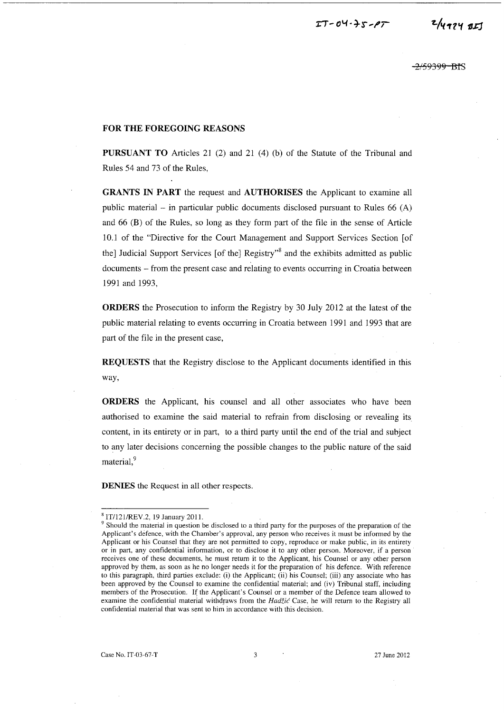<del>2/59399 BI</del>S

### **FOR THE FOREGOING REASONS**

**PURSUANT TO** Articles 21 (2) and 21 (4) (b) of the Statute of the Tribunal and Rules 54 and 73 of the Rules,

**GRANTS IN PART** the request and **AUTHORISES** the Applicant to examine all public material – in particular public documents disclosed pursuant to Rules  $66 (A)$ and 66 (B) of the Rules, so long as they form part of the file in the sense of Article 10.1 of the "Directive for the Court Management and Support Services Section [of the] Judicial Support Services [of the] Registry<sup>38</sup> and the exhibits admitted as public documents - from the present case and relating to events occurring in Croatia between 1991 and 1993,

**ORDERS** the Prosecution to inform the Registry by 30 July 2012 at the latest of the public material relating to events occurring in Croatia between 1991 and 1993 that are part of the file in the present case,

**REQUESTS** that the Registry disclose to the Applicant documents identified in this way,

**ORDERS** the Applicant, his counsel and all other associates who have been authorised to examine the said material to refrain from disclosing or revealing its content, in its entirety or in part, to a third party until the end of the trial and subject to any later decisions concerning the possible changes to the public nature of the said material,<sup>9</sup>

**DENIES** the Request in all other respects.

<sup>8</sup>ITI1211REV.2, 19 January 2011.

<sup>&</sup>lt;sup>9</sup> Should the material in question be disclosed to a third party for the purposes of the preparation of the Applicant's defence, with the Chamber's approval, any person who receives it must be informed by the Applicant or his Counsel that they are not permitted to copy, reproduce or make public, in its entirety or in part, any confidential information, or to disclose it to any other person. Moreover, if a person receives one of these documents, he must return it to the Applicant, his Counsel or any other person approved by them, as soon as he no longer needs it for the preparation of his defence. With reference to this paragraph, third parties exclude: (i) the Applicant; (ii) his Counsel; (iii) any associate who has been approved by the Counsel to examine the confidential material; and (iv) Tribunal staff, including members of the Prosecution. If the Applicant's Counsel or a member of the Defence team allowed to examine the confidential material withdraws from the Hadžić Case, he will return to the Registry all confidential material that was sent to him in accordance with this decision.